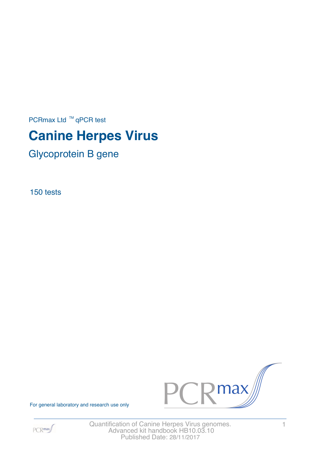PCRmax Ltd  $™$  qPCR test

# **Canine Herpes Virus**

Glycoprotein B gene

150 tests



For general laboratory and research use only



Quantification of Canine Herpes Virus genomes. 4 Advanced kit handbook HB10.03.10 Published Date: 28/11/2017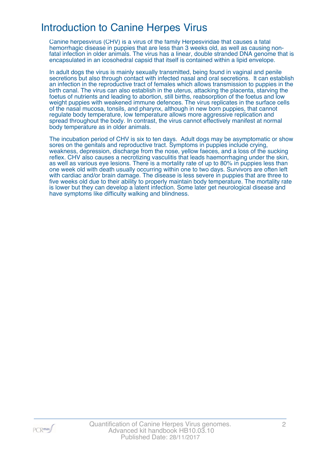### Introduction to Canine Herpes Virus

Canine herpesvirus (CHV) is a virus of the family Herpesviridae that causes a fatal hemorrhagic disease in puppies that are less than 3 weeks old, as well as causing nonfatal infection in older animals. The virus has a linear, double stranded DNA genome that is encapsulated in an icosohedral capsid that itself is contained within a lipid envelope.

In adult dogs the virus is mainly sexually transmitted, being found in vaginal and penile secretions but also through contact with infected nasal and oral secretions. It can establish an infection in the reproductive tract of females which allows transmission to puppies in the birth canal. The virus can also establish in the uterus, attacking the placenta, starving the foetus of nutrients and leading to abortion, still births, reabsorption of the foetus and low weight puppies with weakened immune defences. The virus replicates in the surface cells of the nasal mucosa, tonsils, and pharynx, although in new born puppies, that cannot regulate body temperature, low temperature allows more aggressive replication and spread throughout the body. In contrast, the virus cannot effectively manifest at normal body temperature as in older animals.

The incubation period of CHV is six to ten days. Adult dogs may be asymptomatic or show sores on the genitals and reproductive tract. Symptoms in puppies include crying, weakness, depression, discharge from the nose, yellow faeces, and a loss of the sucking reflex. CHV also causes a necrotizing vasculitis that leads haemorrhaging under the skin, as well as various eye lesions. There is a mortality rate of up to 80% in puppies less than one week old with death usually occurring within one to two days. Survivors are often left with cardiac and/or brain damage. The disease is less severe in puppies that are three to five weeks old due to their ability to properly maintain body temperature. The mortality rate is lower but they can develop a latent infection. Some later get neurological disease and have symptoms like difficulty walking and blindness.

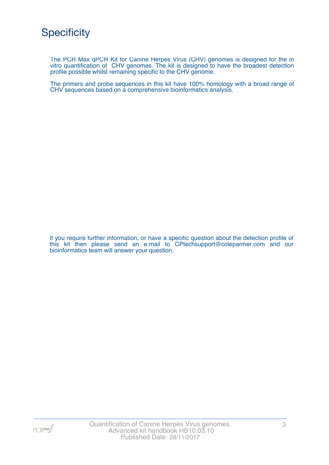The PCR Max qPCR Kit for Canine Herpes Virus (CHV) genomes is designed for the in vitro quantification of CHV genomes. The kit is designed to have the broadest detection profile possible whilst remaining specific to the CHV genome.

The primers and probe sequences in this kit have 100% homology with a broad range of CHV sequences based on a comprehensive bioinformatics analysis.

If you require further information, or have a specific question about the detection profile of this kit then please send an e.mail to CPtechsupport@coleparmer.com and our bioinformatics team will answer your question.

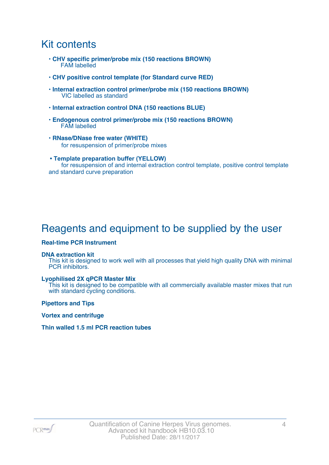### Kit contents

- **CHV specific primer/probe mix (150 reactions BROWN)** FAM labelled
- **CHV positive control template (for Standard curve RED)**
- **Internal extraction control primer/probe mix (150 reactions BROWN)** VIC labelled as standard
- **Internal extraction control DNA (150 reactions BLUE)**
- **Endogenous control primer/probe mix (150 reactions BROWN)** FAM labelled
- **RNase/DNase free water (WHITE)** for resuspension of primer/probe mixes
- **Template preparation buffer (YELLOW)** for resuspension of and internal extraction control template, positive control template and standard curve preparation

# Reagents and equipment to be supplied by the user

#### **Real-time PCR Instrument**

#### **DNA extraction kit**

This kit is designed to work well with all processes that yield high quality DNA with minimal PCR inhibitors.

#### **Lyophilised 2X qPCR Master Mix**

This kit is designed to be compatible with all commercially available master mixes that run with standard cycling conditions.

**Pipettors and Tips**

**Vortex and centrifuge**

#### **Thin walled 1.5 ml PCR reaction tubes**

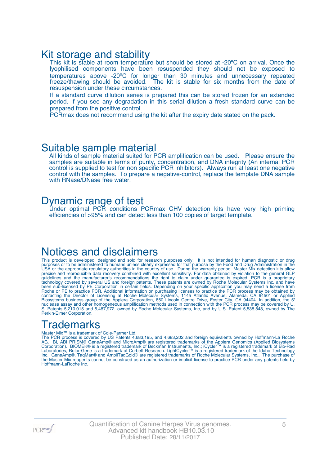### Kit storage and stability

This kit is stable at room temperature but should be stored at -20°C on arrival. Once the lyophilised components have been resuspended they should not be exposed to temperatures above -20ºC for longer than 30 minutes and unnecessary repeated freeze/thawing should be avoided. The kit is stable for six months from the date of resuspension under these circumstances.

If a standard curve dilution series is prepared this can be stored frozen for an extended period. If you see any degradation in this serial dilution a fresh standard curve can be prepared from the positive control.

PCRmax does not recommend using the kit after the expiry date stated on the pack.

### Suitable sample material

All kinds of sample material suited for PCR amplification can be used. Please ensure the samples are suitable in terms of purity, concentration, and DNA integrity (An internal PCR control is supplied to test for non specific PCR inhibitors). Always run at least one negative control with the samples. To prepare a negative-control, replace the template DNA sample with RNase/DNase free water.

### Dynamic range of test

Under optimal PCR conditions PCRmax CHV detection kits have very high priming efficiencies of >95% and can detect less than 100 copies of target template.

### Notices and disclaimers

This product is developed, designed and sold for research purposes only. It is not intended for human diagnostic or drug purposes or to be administered to humans unless clearly expressed for that purpose by the Food and Drug Administration in the USA or the appropriate regulatory authorities in the country of use. During the warranty period Master Mix detection kits allow precise and reproducible data recovery combined with excellent sensitivity. For data obtained by violation to the general GLP guidelines and the manufacturer's recommendations the right to claim under guarantee is expired. PCR is a proprietary technology covered by several US and foreign patents. These patents are owned by Roche Molecular Systems Inc. and have been sub-licensed by PE Corporation in certain fields. Depending on your specific application you may need a license from Roche or PE to practice PCR. Additional information on purchasing licenses to practice the PCR process may be obtained by contacting the Director of Licensing at Roche Molecular Systems, 1145 Atlantic Avenue, Alameda, CA 94501 or Applied Biosystems business group of the Applera Corporation, 850 Lincoln Centre Drive, Foster City, CA 94404. In addition, the 5' nuclease assay and other homogeneous amplification methods used in connection with the PCR process may be covered by U. S. Patents 5,210,015 and 5,487,972, owned by Roche Molecular Systems, Inc, and by U.S. Patent 5,538,848, owned by The Perkin-Elmer Corporation.

# **Trademarks**

#### Master Mix™ is a trademark of Cole-Parmer Ltd.

The PCR process is covered by US Patents 4,683,195, and 4,683,202 and foreign equivalents owned by Hoffmann-La Roche AG. BI, ABI PRISM® GeneAmp® and MicroAmp® are registered trademarks of the Applera Genomics (Applied Biosystems Corporation). BIOMEK® is a registered trademark of Beckman Instruments, Inc.; iCycler™ is a registered trademark of Bio-Rad Laboratories, Rotor-Gene is a trademark of Corbett Research. LightCycler™ is a registered trademark of the Idaho Technology Inc. GeneAmp®, TaqMan® and AmpliTaqGold® are registered trademarks of Roche Molecular Systems, Inc., The purchase of the Master Mix reagents cannot be construed as an authorization or implicit license to practice PCR under any patents held by Hoffmann-LaRoche Inc.

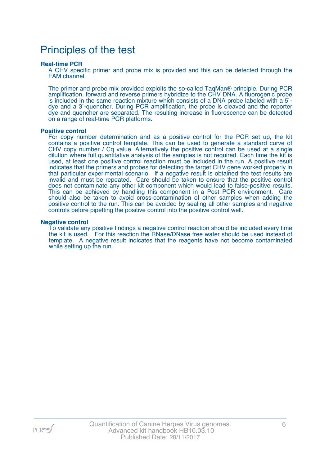### Principles of the test

#### **Real-time PCR**

A CHV specific primer and probe mix is provided and this can be detected through the FAM channel.

The primer and probe mix provided exploits the so-called TaqMan® principle. During PCR amplification, forward and reverse primers hybridize to the CHV DNA. A fluorogenic probe is included in the same reaction mixture which consists of a DNA probe labeled with a 5` dye and a 3`-quencher. During PCR amplification, the probe is cleaved and the reporter dye and quencher are separated. The resulting increase in fluorescence can be detected on a range of real-time PCR platforms.

#### **Positive control**

For copy number determination and as a positive control for the PCR set up, the kit contains a positive control template. This can be used to generate a standard curve of CHV copy number / Cq value. Alternatively the positive control can be used at a single dilution where full quantitative analysis of the samples is not required. Each time the kit is used, at least one positive control reaction must be included in the run. A positive result indicates that the primers and probes for detecting the target CHV gene worked properly in that particular experimental scenario. If a negative result is obtained the test results are invalid and must be repeated. Care should be taken to ensure that the positive control does not contaminate any other kit component which would lead to false-positive results. This can be achieved by handling this component in a Post PCR environment. Care should also be taken to avoid cross-contamination of other samples when adding the positive control to the run. This can be avoided by sealing all other samples and negative controls before pipetting the positive control into the positive control well.

#### **Negative control**

To validate any positive findings a negative control reaction should be included every time the kit is used. For this reaction the RNase/DNase free water should be used instead of template. A negative result indicates that the reagents have not become contaminated while setting up the run.

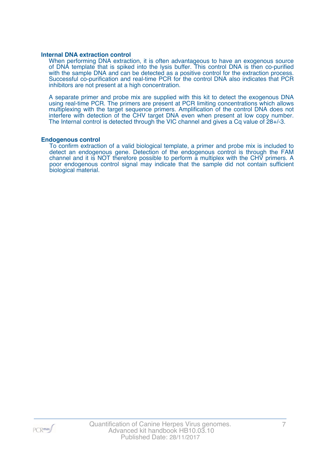#### **Internal DNA extraction control**

When performing DNA extraction, it is often advantageous to have an exogenous source of DNA template that is spiked into the lysis buffer. This control DNA is then co-purified with the sample DNA and can be detected as a positive control for the extraction process. Successful co-purification and real-time PCR for the control DNA also indicates that PCR inhibitors are not present at a high concentration.

A separate primer and probe mix are supplied with this kit to detect the exogenous DNA using real-time PCR. The primers are present at PCR limiting concentrations which allows multiplexing with the target sequence primers. Amplification of the control DNA does not interfere with detection of the CHV target DNA even when present at low copy number. The Internal control is detected through the VIC channel and gives a Cq value of 28+/-3.

#### **Endogenous control**

To confirm extraction of a valid biological template, a primer and probe mix is included to detect an endogenous gene. Detection of the endogenous control is through the FAM channel and it is NOT therefore possible to perform a multiplex with the CHV primers. A poor endogenous control signal may indicate that the sample did not contain sufficient biological material.

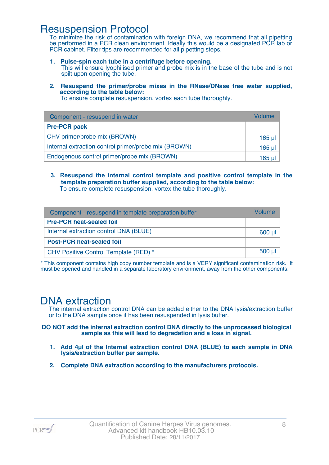### Resuspension Protocol

To minimize the risk of contamination with foreign DNA, we recommend that all pipetting be performed in a PCR clean environment. Ideally this would be a designated PCR lab or PCR cabinet. Filter tips are recommended for all pipetting steps.

- **1. Pulse-spin each tube in a centrifuge before opening.** This will ensure lyophilised primer and probe mix is in the base of the tube and is not spilt upon opening the tube.
- **2. Resuspend the primer/probe mixes in the RNase/DNase free water supplied, according to the table below:**

To ensure complete resuspension, vortex each tube thoroughly.

| Component - resuspend in water                       | Volume   |
|------------------------------------------------------|----------|
| <b>Pre-PCR pack</b>                                  |          |
| CHV primer/probe mix (BROWN)                         | $165$ µl |
| Internal extraction control primer/probe mix (BROWN) | 165 µl   |
| Endogenous control primer/probe mix (BROWN)          | 165 ul   |

**3. Resuspend the internal control template and positive control template in the template preparation buffer supplied, according to the table below:** To ensure complete resuspension, vortex the tube thoroughly.

| Component - resuspend in template preparation buffer | <i><u>Molume</u></i> |
|------------------------------------------------------|----------------------|
| <b>Pre-PCR heat-sealed foil</b>                      |                      |
| Internal extraction control DNA (BLUE)               | 600 µl               |
| <b>Post-PCR heat-sealed foil</b>                     |                      |
| CHV Positive Control Template (RED) *                | $500$ $\mu$          |

\* This component contains high copy number template and is a VERY significant contamination risk. It must be opened and handled in a separate laboratory environment, away from the other components.

### DNA extraction

The internal extraction control DNA can be added either to the DNA lysis/extraction buffer or to the DNA sample once it has been resuspended in lysis buffer.

**DO NOT add the internal extraction control DNA directly to the unprocessed biological sample as this will lead to degradation and a loss in signal.**

- **1. Add 4µl of the Internal extraction control DNA (BLUE) to each sample in DNA lysis/extraction buffer per sample.**
- **2. Complete DNA extraction according to the manufacturers protocols.**

PCR<sub>max</sub>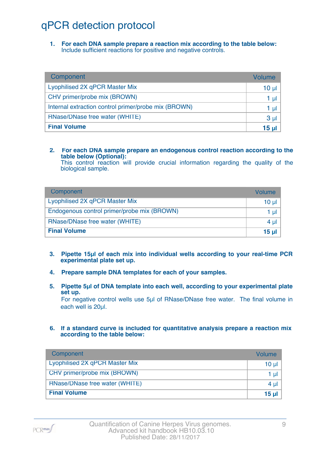# qPCR detection protocol

**1. For each DNA sample prepare a reaction mix according to the table below:** Include sufficient reactions for positive and negative controls.

| Component                                            | Volume          |
|------------------------------------------------------|-----------------|
| Lyophilised 2X qPCR Master Mix                       | 10 <sub>µ</sub> |
| CHV primer/probe mix (BROWN)                         | 1 µl            |
| Internal extraction control primer/probe mix (BROWN) | 1 µl            |
| RNase/DNase free water (WHITE)                       | 3 <sub>µ</sub>  |
| <b>Final Volume</b>                                  | 15 µl           |

#### **2. For each DNA sample prepare an endogenous control reaction according to the table below (Optional):**

This control reaction will provide crucial information regarding the quality of the biological sample.

| Component                                   | Volume       |
|---------------------------------------------|--------------|
| Lyophilised 2X qPCR Master Mix              | 10 ul        |
| Endogenous control primer/probe mix (BROWN) | 1 ul         |
| RNase/DNase free water (WHITE)              | $4 \mu$      |
| <b>Final Volume</b>                         | <u>15 ul</u> |

- **3. Pipette 15µl of each mix into individual wells according to your real-time PCR experimental plate set up.**
- **4. Prepare sample DNA templates for each of your samples.**
- **5. Pipette 5µl of DNA template into each well, according to your experimental plate set up.**

For negative control wells use 5µl of RNase/DNase free water. The final volume in each well is 20ul.

**6. If a standard curve is included for quantitative analysis prepare a reaction mix according to the table below:**

| Component                      | Volume   |
|--------------------------------|----------|
| Lyophilised 2X qPCR Master Mix | $10 \mu$ |
| CHV primer/probe mix (BROWN)   | 1 $\mu$  |
| RNase/DNase free water (WHITE) | 4 $\mu$  |
| <b>Final Volume</b>            | 15 $\mu$ |

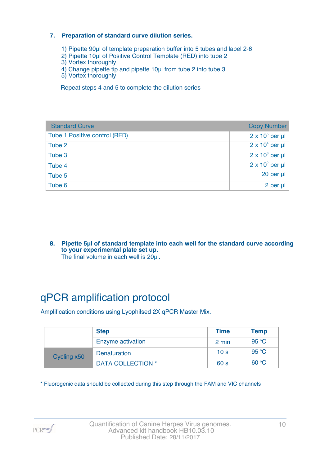#### **7. Preparation of standard curve dilution series.**

- 1) Pipette 90µl of template preparation buffer into 5 tubes and label 2-6
- 2) Pipette 10µl of Positive Control Template (RED) into tube 2
- 3) Vortex thoroughly
- 4) Change pipette tip and pipette 10µl from tube 2 into tube 3
- 5) Vortex thoroughly

Repeat steps 4 and 5 to complete the dilution series

| <b>Standard Curve</b>         | <b>Copy Number</b>     |
|-------------------------------|------------------------|
| Tube 1 Positive control (RED) | $2 \times 10^5$ per µl |
| Tube 2                        | $2 \times 10^4$ per µl |
| Tube 3                        | $2 \times 10^3$ per µl |
| Tube 4                        | $2 \times 10^2$ per µl |
| Tube 5                        | 20 per µl              |
| Tube 6                        | 2 per µl               |

**8. Pipette 5µl of standard template into each well for the standard curve according to your experimental plate set up.** The final volume in each well is 20µl.

# qPCR amplification protocol

Amplification conditions using Lyophilsed 2X qPCR Master Mix.

|             | <b>Step</b>              | <b>Time</b>     | <b>Temp</b> |
|-------------|--------------------------|-----------------|-------------|
|             | Enzyme activation        | 2 min           | 95 °C       |
| Cycling x50 | <b>Denaturation</b>      | 10 <sub>s</sub> | 95 °C       |
|             | <b>DATA COLLECTION *</b> | 60 <sub>s</sub> | 60 °C       |

\* Fluorogenic data should be collected during this step through the FAM and VIC channels

PCR<sub>max</sub>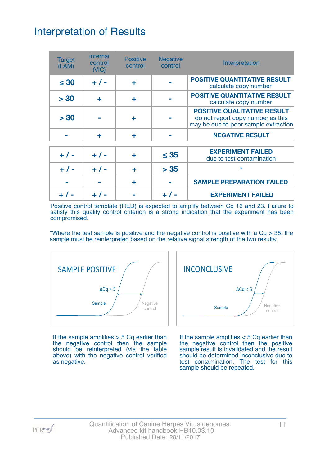# Interpretation of Results

| <b>Target</b><br>(FAM) | <b>Internal</b><br>control<br>(NIC) | <b>Positive</b><br>control | <b>Negative</b><br>control | Interpretation                                                                                                  |
|------------------------|-------------------------------------|----------------------------|----------------------------|-----------------------------------------------------------------------------------------------------------------|
| $\leq 30$              | $+ 1 -$                             | ÷                          |                            | <b>POSITIVE QUANTITATIVE RESULT</b><br>calculate copy number                                                    |
| > 30                   | ÷                                   | ÷                          |                            | <b>POSITIVE QUANTITATIVE RESULT</b><br>calculate copy number                                                    |
| > 30                   |                                     | ٠                          |                            | <b>POSITIVE QUALITATIVE RESULT</b><br>do not report copy number as this<br>may be due to poor sample extraction |
|                        | ÷                                   | ÷                          |                            | <b>NEGATIVE RESULT</b>                                                                                          |
| $+ 1 -$                | $+ 1 -$                             |                            | $\leq 35$                  | <b>EXPERIMENT FAILED</b><br>due to test contamination                                                           |
| $+ 1 -$                | $+ 1 -$                             | ÷                          | > 35                       | $\star$                                                                                                         |
|                        |                                     | ÷                          |                            | <b>SAMPLE PREPARATION FAILED</b>                                                                                |
|                        |                                     |                            | $+$ /                      | <b>EXPERIMENT FAILED</b>                                                                                        |

Positive control template (RED) is expected to amplify between Cq 16 and 23. Failure to satisfy this quality control criterion is a strong indication that the experiment has been compromised.

\*Where the test sample is positive and the negative control is positive with a  $Cq > 35$ , the sample must be reinterpreted based on the relative signal strength of the two results:



If the sample amplifies  $>$  5 Cq earlier than the negative control then the sample should be reinterpreted (via the table above) with the negative control verified as negative.



If the sample amplifies < 5 Cq earlier than the negative control then the positive sample result is invalidated and the result should be determined inconclusive due to test contamination. The test for this sample should be repeated.